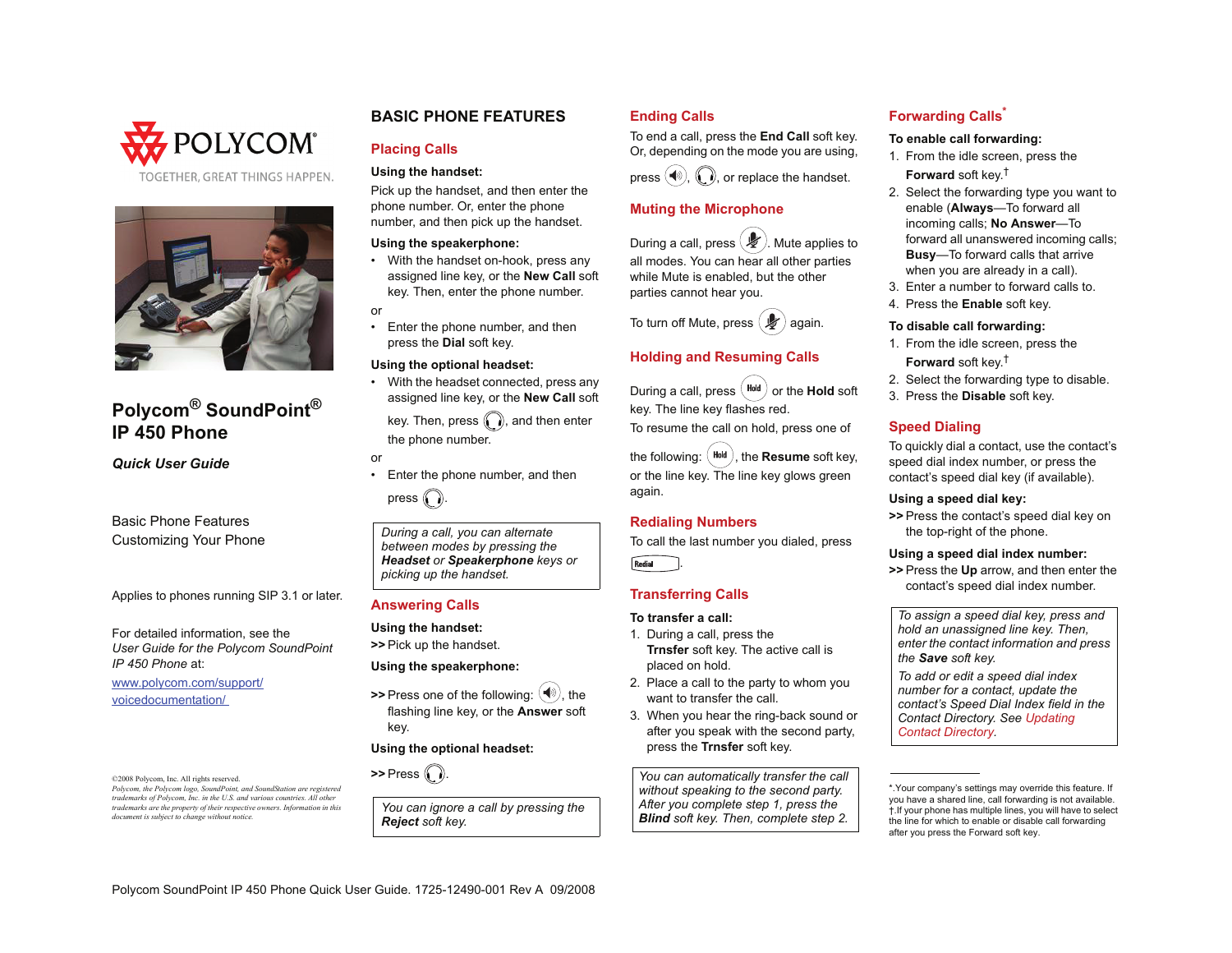



# **Polycom ® SoundPoint ® IP 450 Phone**

*Quick User Guide*

Basic Phone FeaturesCustomizing Your Phone

Applies to phones running SIP 3.1 or later.

For detailed information, see the *User Guide for the Polycom SoundPoint IP 450 Phone* at:

www.polycom.com/support/ voicedocumentation/

©2008 Polycom, Inc. All rights reserved. *Polycom, the Polycom logo, SoundPoint, and SoundStation are registered trademarks of Polycom, Inc. in the U.S. and various countries. All other trademarks are the property of their respective owners. Information in this document is subject to change without notice.*

# **BASIC PHONE FEATURES**

# **Placing Calls**

#### **Using the handset:**

Pick up the handset, and then enter the phone number. Or, enter the phone number, and then pick up the handset.

#### **Using the speakerphone:**

- • With the handset on-hook, press any assigned line key, or the **New Call** soft key. Then, enter the phone number.
- or
- • Enter the phone number, and then press the **Dial** soft key.

#### **Using the optional headset:**

• With the headset connected, press any assigned line key, or the **New Call** soft

key. Then, press  $\binom{n}{k}$ , and then enter the phone number.

- or
- • Enter the phone number, and then press  $\bigcap$

*During a call, you can alternate between modes by pressing the Headset or Speakerphone keys or picking up the handset.*

### **Answering Calls**

**Using the handset:**

**>>** Pick up the handset.

#### **Using the speakerphone:**

**>>** Press one of the following:  $(\mathbb{R})$ , the flashing line key, or the **Answer** soft key.

#### **Using the optional headset:**

**>>** Press ((, ,).

*You can ignore a call by pressing the Reject soft key.*

# **Ending Calls**

To end a call, press the **End Call** soft key. Or, depending on the mode you are using,

press  $(\blacktriangleleft)$ ,  $(\ldots)$ , or replace the handset.

#### **Muting the Microphone**

During a call, press  $(\mathcal{L})$ . Mute applies to all modes. You can hear all other parties while Mute is enabled, but the other parties cannot hear you.



# **Holding and Resuming Calls**

During a call, press  $($ <sup>Hold</sup>) or the **Hold** soft key. The line key flashes red.

To resume the call on hold, press one of

the following:  $($  Hold  $)$ , the **Resume** soft key, or the line key. The line key glows green again.

### **Redialing Numbers**

To call the last number you dialed, press Redial

# **Transferring Calls**

# **To transfer a call:**

- 1. During a call, press the **Trnsfer** soft key. The active call is placed on hold.
- 2. Place a call to the party to whom you want to transfer the call*.*
- 3. When you hear the ring-back sound or after you speak with the second party, press the **Trnsfer** soft key.

*You can automatically transfer the call without speaking to the second party. After you complete step 1, press the Blind soft key. Then, complete step 2.*

# **Forwarding Calls\***

#### **To enable call forwarding:**

- 1. From the idle screen, press the **Forward** soft key.†
- 2. Select the forwarding type you want to enable (**Always**—To forward all incoming calls; **No Answer**—To forward all unanswered incoming calls; **Busy**—To forward calls that arrive when you are already in a call).
- 3. Enter a number to forward calls to.
- 4. Press the **Enable** soft key.

#### **To disable call forwarding:**

- 1. From the idle screen, press the **Forward** soft key.†
- 2. Select the forwarding type to disable.
- 3. Press the **Disable** soft key.

## **Speed Dialing**

To quickly dial a contact, use the contact's speed dial index number, or press the contact's speed dial key (if available).

#### **Using a speed dial key:**

**>>** Press the contact's speed dial key on the top-right of the phone.

#### **Using a speed dial index number:**

**>>** Press the **Up** arrow, and then enter the contact's speed dial index number.

*To assign a speed dial key, press and hold an unassigned line key. Then, enter the contact information and press the Save soft key.*

*To add or edit a speed dial index number for a contact, update the contact's Speed Dial Index field in the Contact Directory. See [Updating](#page-1-0)  [Contact Directory](#page-1-0).*

\*.Your company's settings may override this feature. If you have a shared line, call forwarding is not available. †.If your phone has multiple lines, you will have to select the line for which to enable or disable call forwarding after you press the Forward soft key.